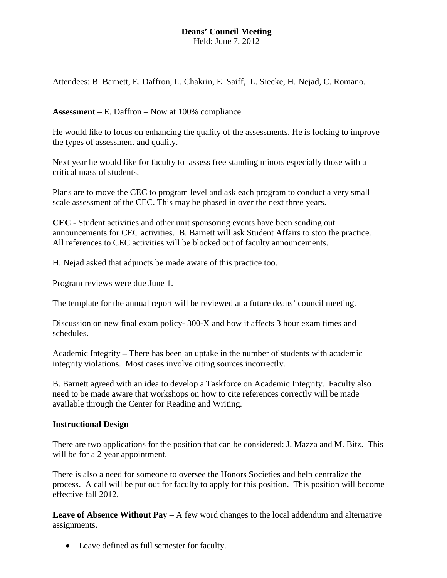# **Deans' Council Meeting** Held: June 7, 2012

Attendees: B. Barnett, E. Daffron, L. Chakrin, E. Saiff, L. Siecke, H. Nejad, C. Romano.

**Assessment** – E. Daffron – Now at 100% compliance.

He would like to focus on enhancing the quality of the assessments. He is looking to improve the types of assessment and quality.

Next year he would like for faculty to assess free standing minors especially those with a critical mass of students.

Plans are to move the CEC to program level and ask each program to conduct a very small scale assessment of the CEC. This may be phased in over the next three years.

**CEC** - Student activities and other unit sponsoring events have been sending out announcements for CEC activities. B. Barnett will ask Student Affairs to stop the practice. All references to CEC activities will be blocked out of faculty announcements.

H. Nejad asked that adjuncts be made aware of this practice too.

Program reviews were due June 1.

The template for the annual report will be reviewed at a future deans' council meeting.

Discussion on new final exam policy- 300-X and how it affects 3 hour exam times and schedules.

Academic Integrity – There has been an uptake in the number of students with academic integrity violations. Most cases involve citing sources incorrectly.

B. Barnett agreed with an idea to develop a Taskforce on Academic Integrity. Faculty also need to be made aware that workshops on how to cite references correctly will be made available through the Center for Reading and Writing.

## **Instructional Design**

There are two applications for the position that can be considered: J. Mazza and M. Bitz. This will be for a 2 year appointment.

There is also a need for someone to oversee the Honors Societies and help centralize the process. A call will be put out for faculty to apply for this position. This position will become effective fall 2012.

**Leave of Absence Without Pay** – A few word changes to the local addendum and alternative assignments.

• Leave defined as full semester for faculty.